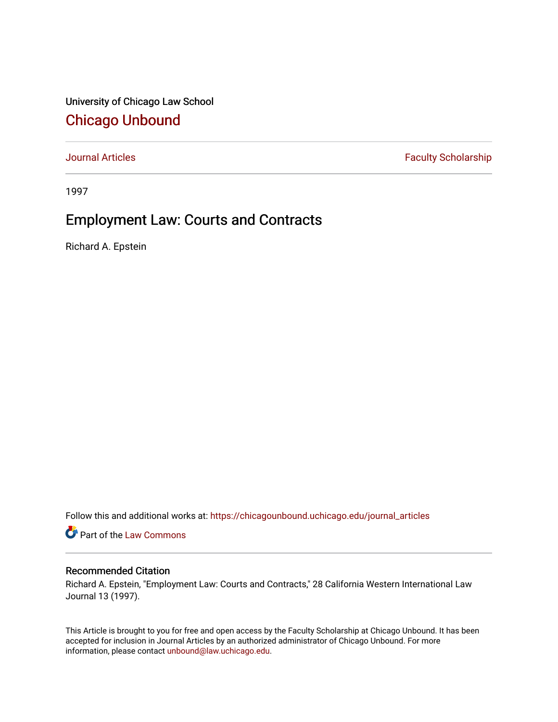University of Chicago Law School [Chicago Unbound](https://chicagounbound.uchicago.edu/)

[Journal Articles](https://chicagounbound.uchicago.edu/journal_articles) **Faculty Scholarship Faculty Scholarship** 

1997

# Employment Law: Courts and Contracts

Richard A. Epstein

Follow this and additional works at: [https://chicagounbound.uchicago.edu/journal\\_articles](https://chicagounbound.uchicago.edu/journal_articles?utm_source=chicagounbound.uchicago.edu%2Fjournal_articles%2F1287&utm_medium=PDF&utm_campaign=PDFCoverPages) 

Part of the [Law Commons](http://network.bepress.com/hgg/discipline/578?utm_source=chicagounbound.uchicago.edu%2Fjournal_articles%2F1287&utm_medium=PDF&utm_campaign=PDFCoverPages)

# Recommended Citation

Richard A. Epstein, "Employment Law: Courts and Contracts," 28 California Western International Law Journal 13 (1997).

This Article is brought to you for free and open access by the Faculty Scholarship at Chicago Unbound. It has been accepted for inclusion in Journal Articles by an authorized administrator of Chicago Unbound. For more information, please contact [unbound@law.uchicago.edu](mailto:unbound@law.uchicago.edu).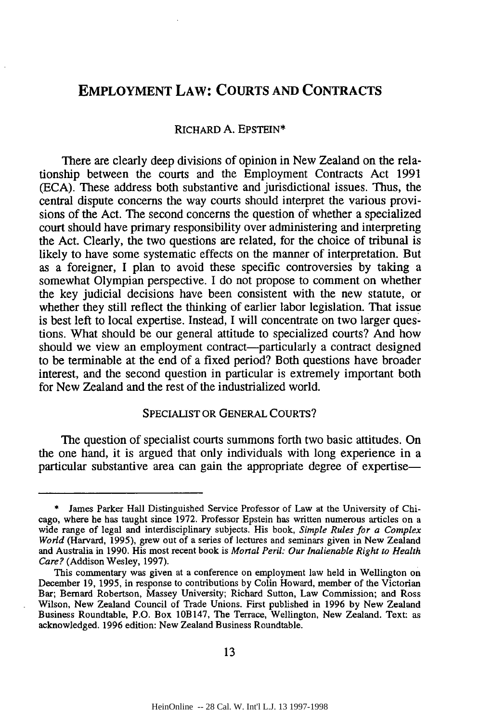# **EMPLOYMENT LAW: COURTS AND CONTRACTS**

### RICHARD A. **EPSTEIN\***

There are clearly deep divisions of opinion in New Zealand on the relationship between the courts and the Employment Contracts Act 1991 (ECA). These address both substantive and jurisdictional issues. Thus, the central dispute concerns the way courts should interpret the various provisions of the Act. The second concerns the question of whether a specialized court should have primary responsibility over administering and interpreting the Act. Clearly, the two questions are related, for the choice of tribunal is likely to have some systematic effects on the manner of interpretation. But as a foreigner, I plan to avoid these specific controversies by taking a somewhat Olympian perspective. I do not propose to comment on whether the key judicial decisions have been consistent with the new statute, or whether they still reflect the thinking of earlier labor legislation. That issue is best left to local expertise. Instead, I will concentrate on two larger questions. What should be our general attitude to specialized courts? And how should we view an employment contract-particularly a contract designed to be terminable at the end of a fixed period? Both questions have broader interest, and the second question in particular is extremely important both for New Zealand and the rest of the industrialized world.

### SPECIALIST OR GENERAL **COURTS?**

The question of specialist courts summons forth two basic attitudes. On the one hand, it is argued that only individuals with long experience in a particular substantive area can gain the appropriate degree of expertise-

<sup>\*</sup> James Parker Hall Distinguished Service Professor of Law at the University of Chicago, where he has taught since 1972. Professor Epstein has written numerous articles on a wide range of legal and interdisciplinary subjects. His book, *Simple Rules for a Complex World* (Harvard, 1995), grew out of a series of lectures and seminars given in New Zealand and Australia in 1990. His most recent book is *Mortal Peril: Our Inalienable Right to Health Care?* (Addison Wesley, 1997).

This commentary was given at a conference on employment law held in Wellington on December 19, 1995, in response to contributions by Colin Howard, member of the Victorian Bar; Bernard Robertson, Massey University; Richard Sutton, Law Commission; and Ross Wilson, New Zealand Council of Trade Unions. First published in 1996 by New Zealand Business Roundtable, P.O. Box 10B147, The Terrace, Wellington, New Zealand. Text: as acknowledged. 1996 edition: New Zealand Business Roundtable.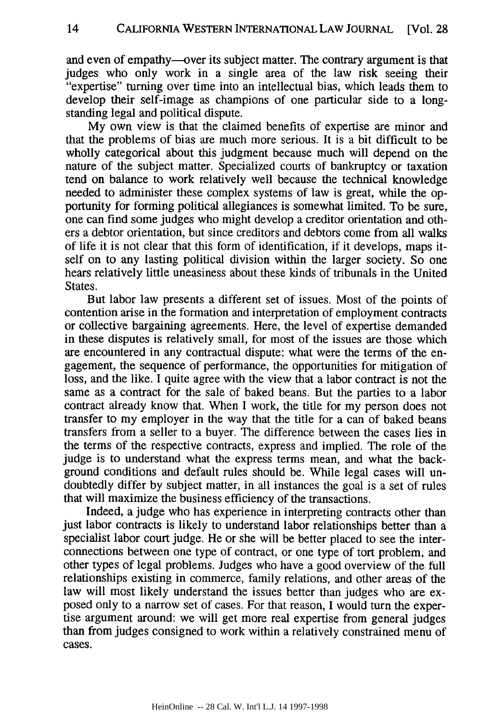and even of empathy—over its subject matter. The contrary argument is that judges who only work in a single area of the law risk seeing their "expertise" turning over time into an intellectual bias, which leads them to develop their self-image as champions of one particular side to a longstanding legal and political dispute.

My own view is that the claimed benefits of expertise are minor and that the problems of bias are much more serious. It is a bit difficult to be wholly categorical about this judgment because much will depend on the nature of the subject matter. Specialized courts of bankruptcy or taxation tend on balance to work relatively well because the technical knowledge needed to administer these complex systems of law is great, while the opportunity for forming political allegiances is somewhat limited. To be sure, one can find some judges who might develop a creditor orientation and others a debtor orientation, but since creditors and debtors come from all walks of life it is not clear that this form of identification, if it develops, maps itself on to any lasting political division within the larger society. So one hears relatively little uneasiness about these kinds of tribunals in the United States.

But labor law presents a different set of issues. Most of the points of contention arise in the formation and interpretation of employment contracts or collective bargaining agreements. Here, the level of expertise demanded in these disputes is relatively small, for most of the issues are those which are encountered in any contractual dispute: what were the terms of the engagement, the sequence of performance, the opportunities for mitigation of loss, and the like. I quite agree with the view that a labor contract is not the same as a contract for the sale of baked beans. But the parties to a labor contract already know that. When I work, the title for my person does not transfer to my employer in the way that the title for a can of baked beans transfers from a seller to a buyer. The difference between the cases lies in the terms of the respective contracts, express and implied. The role of the judge is to understand what the express terms mean, and what the background conditions and default rules should be. While legal cases will undoubtedly differ by subject matter, in all instances the goal is a set of rules that will maximize the business efficiency of the transactions.

Indeed, a judge who has experience in interpreting contracts other than just labor contracts is likely to understand labor relationships better than a specialist labor court judge. He or she will be better placed to see the interconnections between one type of contract, or one type of tort problem, and other types of legal problems. Judges who have a good overview of the full relationships existing in commerce, family relations, and other areas of the law will most likely understand the issues better than judges who are exposed only to a narrow set of cases. For that reason, I would turn the expertise argument around: we will get more real expertise from general judges than from judges consigned to work within a relatively constrained menu of cases.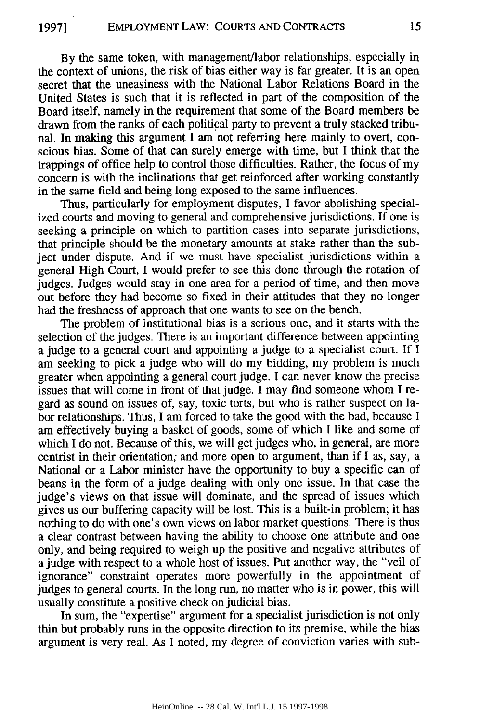By the same token, with management/labor relationships, especially in the context of unions, the risk of bias either way is far greater. It is an open secret that the uneasiness with the National Labor Relations Board in the United States is such that it is reflected in part of the composition of the Board itself, namely in the requirement that some of the Board members be drawn from the ranks of each political party to prevent a truly stacked tribunal. In making this argument I am not referring here mainly to overt, conscious bias. Some of that can surely emerge with time, but I think that the trappings of office help to control those difficulties. Rather, the focus of my concern is with the inclinations that get reinforced after working constantly in the same field and being long exposed to the same influences.

Thus, particularly for employment disputes, I favor abolishing specialized courts and moving to general and comprehensive jurisdictions. If one is seeking a principle on which to partition cases into separate jurisdictions, that principle should be the monetary amounts at stake rather than the subject under dispute. And if we must have specialist jurisdictions within a general High Court, I would prefer to see this done through the rotation of judges. Judges would stay in one area for a period of time, and then move out before they had become so fixed in their attitudes that they no longer had the freshness of approach that one wants to see on the bench.

The problem of institutional bias is a serious one, and it starts with the selection of the judges. There is an important difference between appointing a judge to a general court and appointing a judge to a specialist court. If I am seeking to pick a judge who will do my bidding, my problem is much greater when appointing a general court judge. I can never know the precise issues that will come in front of that judge. I may find someone whom I regard as sound on issues of, say, toxic torts, but who is rather suspect on labor relationships. Thus, I am forced to take the good with the bad, because I am effectively buying a basket of goods, some of which I like and some of which I do not. Because of this, we will get judges who, in general, are more centrist in their orientation; and more open to argument, than if I as, say, a National or a Labor minister have the opportunity to buy a specific can of beans in the form of a judge dealing with only one issue. In that case the judge's views on that issue will dominate, and the spread of issues which gives us our buffering capacity will be lost. This is a built-in problem; it has nothing to do with one's own views on labor market questions. There is thus a clear contrast between having the ability to choose one attribute and one only, and being required to weigh up the positive and negative attributes of a judge with respect to a whole host of issues. Put another way, the "veil of ignorance" constraint operates more powerfully in the appointment of judges to general courts. In the long run, no matter who is in power, this will usually constitute a positive check on judicial bias.

In sum, the "expertise" argument for a specialist jurisdiction is not only thin but probably runs in the opposite direction to its premise, while the bias argument is very real. As I noted, my degree of conviction varies with sub-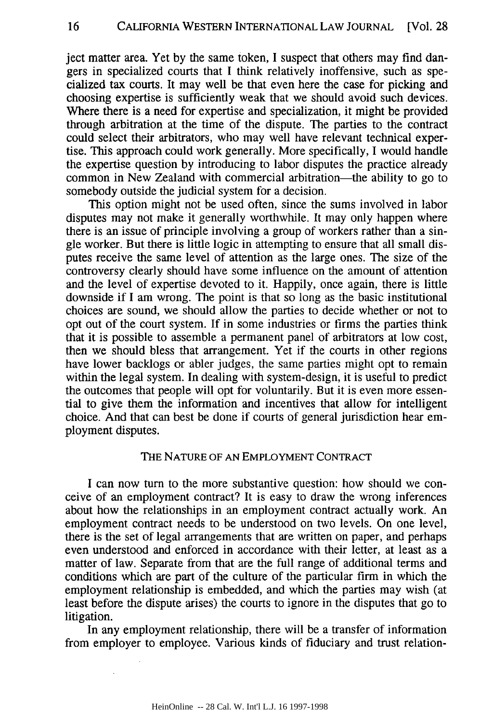ject matter area. Yet by the same token, I suspect that others may find dangers in specialized courts that I think relatively inoffensive, such as specialized tax courts. It may well be that even here the case for picking and choosing expertise is sufficiently weak that we should avoid such devices. Where there is a need for expertise and specialization, it might be provided through arbitration at the time of the dispute. The parties to the contract could select their arbitrators, who may well have relevant technical expertise. This approach could work generally. More specifically, I would handle the expertise question by introducing to labor disputes the practice already common in New Zealand with commercial arbitration—the ability to go to somebody outside the judicial system for a decision.

This option might not be used often, since the sums involved in labor disputes may not make it generally worthwhile. It may only happen where there is an issue of principle involving a group of workers rather than a single worker. But there is little logic in attempting to ensure that all small disputes receive the same level of attention as the large ones. The size of the controversy clearly should have some influence on the amount of attention and the level of expertise devoted to it. Happily, once again, there is little downside if I am wrong. The point is that so long as the basic institutional choices are sound, we should allow the parties to decide whether or not to opt out of the court system. If in some industries or firms the parties think that it is possible to assemble a permanent panel of arbitrators at low cost, then we should bless that arrangement. Yet if the courts in other regions have lower backlogs or abler judges, the same parties might opt to remain within the legal system. In dealing with system-design, it is useful to predict the outcomes that people will opt for voluntarily. But it is even more essential to give them the information and incentives that allow for intelligent choice. And that can best be done if courts of general jurisdiction hear employment disputes.

# THE NATURE OF AN EMPLOYMENT CONTRACT

I can now turn to the more substantive question: how should we conceive of an employment contract? It is easy to draw the wrong inferences about how the relationships in an employment contract actually work. An employment contract needs to be understood on two levels. On one level, there is the set of legal arrangements that are written on paper, and perhaps even understood and enforced in accordance with their letter, at least as a matter of law. Separate from that are the full range of additional terms and conditions which are part of the culture of the particular firm in which the employment relationship is embedded, and which the parties may wish (at least before the dispute arises) the courts to ignore in the disputes that go to litigation.

In any employment relationship, there will be a transfer of information from employer to employee. Various kinds of fiduciary and trust relation-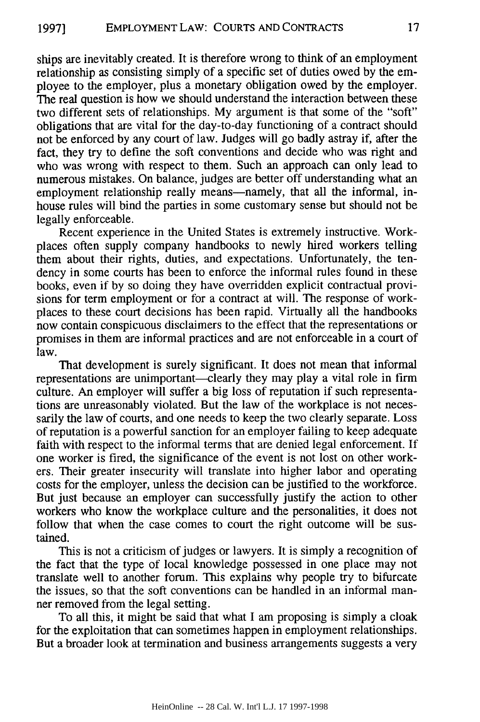ships are inevitably created. It is therefore wrong to think of an employment relationship as consisting simply of a specific set of duties owed by the employee to the employer, plus a monetary obligation owed by the employer. The real question is how we should understand the interaction between these two different sets of relationships. My argument is that some of the "soft" obligations that are vital for the day-to-day functioning of a contract should not be enforced by any court of law. Judges will go badly astray if, after the fact, they try to define the soft conventions and decide who was right and who was wrong with respect to them. Such an approach can only lead to numerous mistakes. On balance, judges are better off understanding what an employment relationship really means—namely, that all the informal, inhouse rules will bind the parties in some customary sense but should not be legally enforceable.

Recent experience in the United States is extremely instructive. Workplaces often supply company handbooks to newly hired workers telling them about their rights, duties, and expectations. Unfortunately, the tendency in some courts has been to enforce the informal rules found in these books, even if by so doing they have overridden explicit contractual provisions for term employment or for a contract at will. The response of workplaces to these court decisions has been rapid. Virtually all the handbooks now contain conspicuous disclaimers to the effect that the representations or promises in them are informal practices and are not enforceable in a court of law.

That development is surely significant. It does not mean that informal representations are unimportant—clearly they may play a vital role in firm culture. An employer will suffer a big loss of reputation if such representations are unreasonably violated. But the law of the workplace is not necessarily the law of courts, and one needs to keep the two clearly separate. Loss of reputation is a powerful sanction for an employer failing to keep adequate faith with respect to the informal terms that are denied legal enforcement. If one worker is fired, the significance of the event is not lost on other workers. Their greater insecurity will translate into higher labor and operating costs for the employer, unless the decision can be justified to the workforce. But just because an employer can successfully justify the action to other workers who know the workplace culture and the personalities, it does not follow that when the case comes to court the right outcome will be sustained.

This is not a criticism of judges or lawyers. It is simply a recognition of the fact that the type of local knowledge possessed in one place may not translate well to another forum. This explains why people try to bifurcate the issues, so that the soft conventions can be handled in an informal manner removed from the legal setting.

To all this, it might be said that what I am proposing is simply a cloak for the exploitation that can sometimes happen in employment relationships. But a broader look at termination and business arrangements suggests a very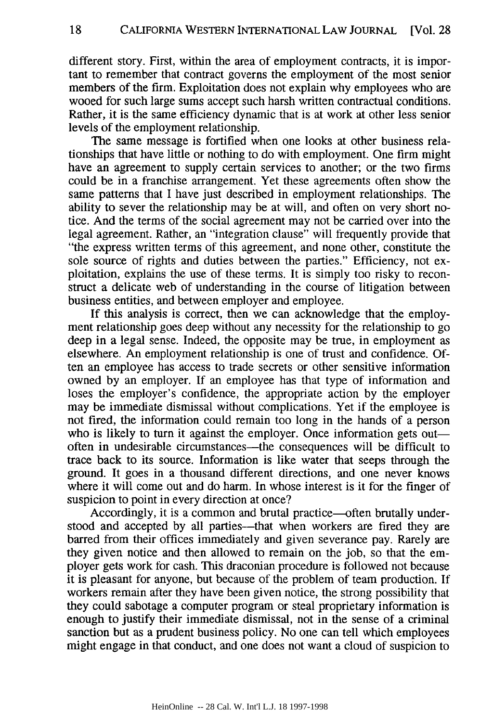different story. First, within the area of employment contracts, it is important to remember that contract governs the employment of the most senior members of the firm. Exploitation does not explain why employees who are wooed for such large sums accept such harsh written contractual conditions. Rather, it is the same efficiency dynamic that is at work at other less senior levels of the employment relationship.

The same message is fortified when one looks at other business relationships that have little or nothing to do with employment. One firm might have an agreement to supply certain services to another; or the two firms could be in a franchise arrangement. Yet these agreements often show the same patterns that I have just described in employment relationships. The ability to sever the relationship may be at will, and often on very short notice. And the terms of the social agreement may not be carried over into the legal agreement. Rather, an "integration clause" will frequently provide that "the express written terms of this agreement, and none other, constitute the sole source of rights and duties between the parties." Efficiency, not exploitation, explains the use of these terms. It is simply too risky to reconstruct a delicate web of understanding in the course of litigation between business entities, and between employer and employee.

If this analysis is correct, then we can acknowledge that the employment relationship goes deep without any necessity for the relationship to go deep in a legal sense. Indeed, the opposite may be true, in employment as elsewhere. An employment relationship is one of trust and confidence. Often an employee has access to trade secrets or other sensitive information owned by an employer. If an employee has that type of information and loses the employer's confidence, the appropriate action by the employer may be immediate dismissal without complications. Yet if the employee is not fired, the information could remain too long in the hands of a person who is likely to turn it against the employer. Once information gets out often in undesirable circumstances-the consequences will be difficult to trace back to its source. Information is like water that seeps through the ground. It goes in a thousand different directions, and one never knows where it will come out and do harm. In whose interest is it for the finger of suspicion to point in every direction at once?

Accordingly, it is a common and brutal practice—often brutally understood and accepted by all parties—that when workers are fired they are barred from their offices immediately and given severance pay. Rarely are they given notice and then allowed to remain on the job, so that the employer gets work for cash. This draconian procedure is followed not because it is pleasant for anyone, but because of the problem of team production. If workers remain after they have been given notice, the strong possibility that they could sabotage a computer program or steal proprietary information is enough to justify their immediate dismissal, not in the sense of a criminal sanction but as a prudent business policy. No one can tell which employees might engage in that conduct, and one does not want a cloud of suspicion to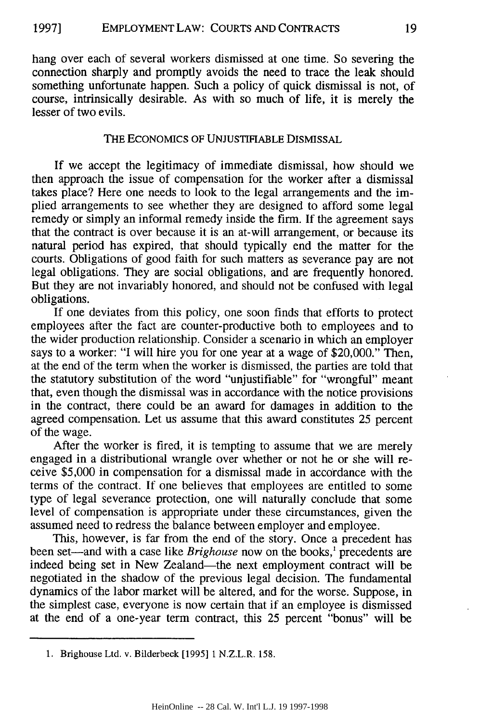hang over each of several workers dismissed at one time. So severing the connection sharply and promptly avoids the need to trace the leak should something unfortunate happen. Such a policy of quick dismissal is not, of course, intrinsically desirable. As with so much of life, it is merely the lesser of two evils.

# THE ECONOMICS OF UNJUSTIFIABLE DISMISSAL

If we accept the legitimacy of immediate dismissal, how should we then approach the issue of compensation for the worker after a dismissal takes place? Here one needs to look to the legal arrangements and the implied arrangements to see whether they are designed to afford some legal remedy or simply an informal remedy inside the firm. If the agreement says that the contract is over because it is an at-will arrangement, or because its natural period has expired, that should typically end the matter for the courts. Obligations of good faith for such matters as severance pay are not legal obligations. They are social obligations, and are frequently honored. But they are not invariably honored, and should not be confused with legal obligations.

If one deviates from this policy, one soon finds that efforts to protect employees after the fact are counter-productive both to employees and to the wider production relationship. Consider a scenario in which an employer says to a worker: "I will hire you for one year at a wage of \$20,000." Then, at the end of the term when the worker is dismissed, the parties are told that the statutory substitution of the word "unjustifiable" for "wrongful" meant that, even though the dismissal was in accordance with the notice provisions in the contract, there could be an award for damages in addition to the agreed compensation. Let us assume that this award constitutes 25 percent of the wage.

After the worker is fired, it is tempting to assume that we are merely engaged in a distributional wrangle over whether or not he or she will receive \$5,000 in compensation for a dismissal made in accordance with the terms of the contract. If one believes that employees are entitled to some type of legal severance protection, one will naturally conclude that some level of compensation is appropriate under these circumstances, given the assumed need to redress the balance between employer and employee.

This, however, is far from the end of the story. Once a precedent has been set-and with a case like *Brighouse* now on the books,' precedents are indeed being set in New Zealand-the next employment contract will be negotiated in the shadow of the previous legal decision. The fundamental dynamics of the labor market will be altered, and for the worse. Suppose, in the simplest case, everyone is now certain that if an employee is dismissed at the end of a one-year term contract, this 25 percent "bonus" will be

**<sup>1.</sup>** Brighouse Ltd. v. Bilderbeck **[1995] 1** N.Z.L.R. **158.**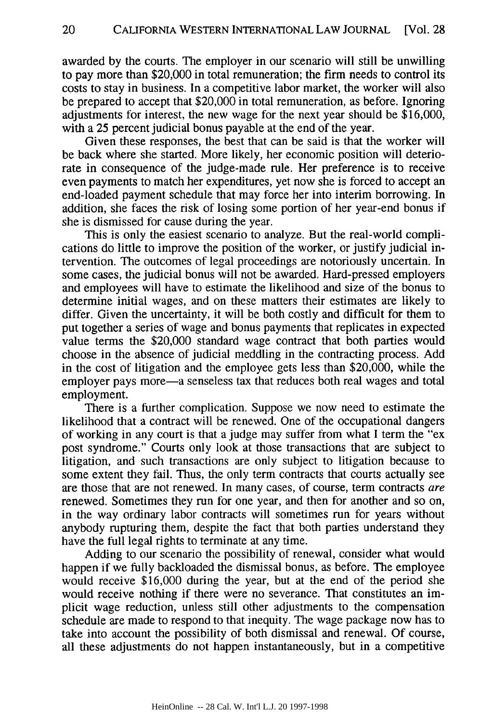awarded by the courts. The employer in our scenario will still be unwilling to pay more than \$20,000 in total remuneration; the firm needs to control its costs to stay in business. In a competitive labor market, the worker will also be prepared to accept that \$20,000 in total remuneration, as before. Ignoring adjustments for interest, the new wage for the next year should be \$16,000, with a 25 percent judicial bonus payable at the end of the year.

Given these responses, the best that can be said is that the worker will be back where she started. More likely, her economic position will deteriorate in consequence of the judge-made rule. Her preference is to receive even payments to match her expenditures, yet now she is forced to accept an end-loaded payment schedule that may force her into interim borrowing. In addition, she faces the risk of losing some portion of her year-end bonus if she is dismissed for cause during the year.

This is only the easiest scenario to analyze. But the real-world complications do little to improve the position of the worker, or justify judicial intervention. The outcomes of legal proceedings are notoriously uncertain. In some cases, the judicial bonus will not be awarded. Hard-pressed employers and employees will have to estimate the likelihood and size of the bonus to determine initial wages, and on these matters their estimates are likely to differ. Given the uncertainty, it will be both costly and difficult for them to put together a series of wage and bonus payments that replicates in expected value terms the \$20,000 standard wage contract that both parties would choose in the absence of judicial meddling in the contracting process. Add in the cost of litigation and the employee gets less than \$20,000, while the employer pays more—a senseless tax that reduces both real wages and total employment.

There is a further complication. Suppose we now need to estimate the likelihood that a contract will be renewed. One of the occupational dangers of working in any court is that a judge may suffer from what I term the "ex post syndrome." Courts only look at those transactions that are subject to litigation, and such transactions are only subject to litigation because to some extent they fail. Thus, the only term contracts that courts actually see are those that are not renewed. In many cases, of course, term contracts are renewed. Sometimes they run for one year, and then for another and so on, in the way ordinary labor contracts will sometimes run for years without anybody rupturing them, despite the fact that both parties understand they have the full legal rights to terminate at any time.

Adding to our scenario the possibility of renewal, consider what would happen if we fully backloaded the dismissal bonus, as before. The employee would receive \$16,000 during the year, but at the end of the period she would receive nothing if there were no severance. That constitutes an implicit wage reduction, unless still other adjustments to the compensation schedule are made to respond to that inequity. The wage package now has to take into account the possibility of both dismissal and renewal. Of course, all these adjustments do not happen instantaneously, but in a competitive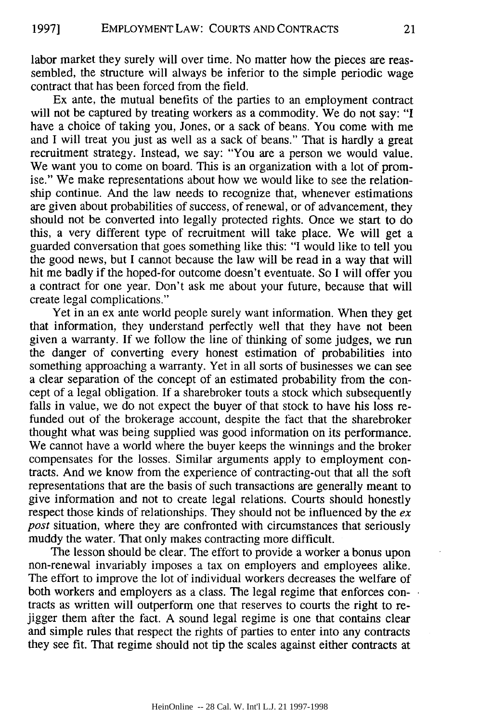labor market they surely will over time. No matter how the pieces are reassembled, the structure will always be inferior to the simple periodic wage contract that has been forced from the field.

Ex ante, the mutual benefits of the parties to an employment contract will not be captured by treating workers as a commodity. We do not say: "I have a choice of taking you, Jones, or a sack of beans. You come with me and I will treat you just as well as a sack of beans." That is hardly a great recruitment strategy. Instead, we say: "You are a person we would value. We want you to come on board. This is an organization with a lot of promise." We make representations about how we would like to see the relationship continue. And the law needs to recognize that, whenever estimations are given about probabilities of success, of renewal, or of advancement, they should not be converted into legally protected rights. Once we start to do this, a very different type of recruitment will take place. We will get a guarded conversation that goes something like this: "I would like to tell you the good news, but I cannot because the law will be read in a way that will hit me badly if the hoped-for outcome doesn't eventuate. So I will offer you a contract for one year. Don't ask me about your future, because that will create legal complications."

Yet in an ex ante world people surely want information. When they get that information, they understand perfectly well that they have not been given a warranty. If we follow the line of thinking of some judges, we run the danger of converting every honest estimation of probabilities into something approaching a warranty. Yet in all sorts of businesses we can see a clear separation of the concept of an estimated probability from the concept of a legal obligation. If a sharebroker touts a stock which subsequently falls in value, we do not expect the buyer of that stock to have his loss refunded out of the brokerage account, despite the fact that the sharebroker thought what was being supplied was good information on its performance. We cannot have a world where the buyer keeps the winnings and the broker compensates for the losses. Similar arguments apply to employment contracts. And we know from the experience of contracting-out that all the soft representations that are the basis of such transactions are generally meant to give information and not to create legal relations. Courts should honestly respect those kinds of relationships. They should not be influenced by the *ex post* situation, where they are confronted with circumstances that seriously muddy the water. That only makes contracting more difficult.

The lesson should be clear. The effort to provide a worker a bonus upon non-renewal invariably imposes a tax on employers and employees alike. The effort to improve the lot of individual workers decreases the welfare of both workers and employers as a class. The legal regime that enforces contracts as written will outperform one that reserves to courts the right to rejigger them after the fact. A sound legal regime is one that contains clear and simple rules that respect the rights of parties to enter into any contracts they see fit. That regime should not tip the scales against either contracts at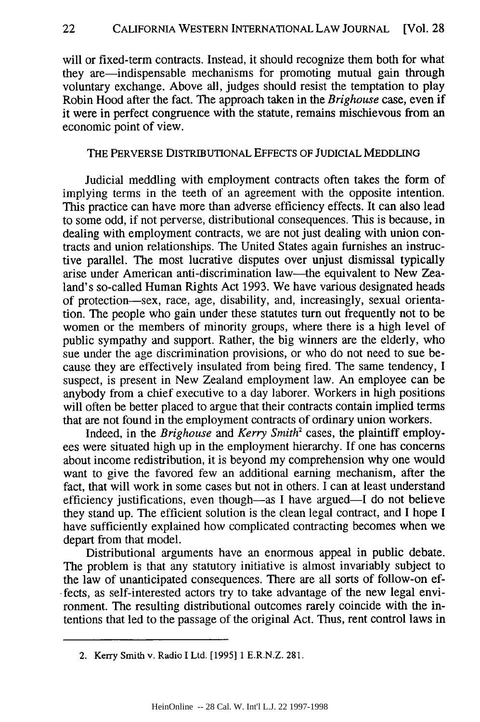will or fixed-term contracts. Instead, it should recognize them both for what they are-indispensable mechanisms for promoting mutual gain through voluntary exchange. Above all, judges should resist the temptation to play Robin Hood after the fact. The approach taken in the *Brighouse* case, even if it were in perfect congruence with the statute, remains mischievous from an economic point of view.

## THE PERVERSE DISTRIBUTIONAL EFFECTS OF JUDICIAL MEDDLING

Judicial meddling with employment contracts often takes the form of implying terms in the teeth of an agreement with the opposite intention. This practice can have more than adverse efficiency effects. It can also lead to some odd, if not perverse, distributional consequences. This is because, in dealing with employment contracts, we are not just dealing with union contracts and union relationships. The United States again furnishes an instructive parallel. The most lucrative disputes over unjust dismissal typically arise under American anti-discrimination law-the equivalent to New Zealand's so-called Human Rights Act 1993. We have various designated heads of protection-sex, race, age, disability, and, increasingly, sexual orientation. The people who gain under these statutes turn out frequently not to be women or the members of minority groups, where there is a high level of public sympathy and support. Rather, the big winners are the elderly, who sue under the age discrimination provisions, or who do not need to sue because they are effectively insulated from being fired. The same tendency, I suspect, is present in New Zealand employment law. An employee can be anybody from a chief executive to a day laborer. Workers in high positions will often be better placed to argue that their contracts contain implied terms that are not found in the employment contracts of ordinary union workers.

Indeed, in the *Brighouse* and *Kerry Smith<sup>2</sup>* cases, the plaintiff employees were situated high up in the employment hierarchy. If one has concerns about income redistribution, it is beyond my comprehension why one would want to give the favored few an additional earning mechanism, after the fact, that will work in some cases but not in others. I can at least understand efficiency justifications, even though—as I have argued—I do not believe they stand up. The efficient solution is the clean legal contract, and I hope I have sufficiently explained how complicated contracting becomes when we depart from that model.

Distributional arguments have an enormous appeal in public debate. The problem is that any statutory initiative is almost invariably subject to the law of unanticipated consequences. There are all sorts of follow-on ef fects, as self-interested actors try to take advantage of the new legal environment. The resulting distributional outcomes rarely coincide with the intentions that led to the passage of the original Act. Thus, rent control laws in

<sup>2.</sup> Kerry Smith v. Radio I Ltd. [1995] 1 E.R.N.Z. 281.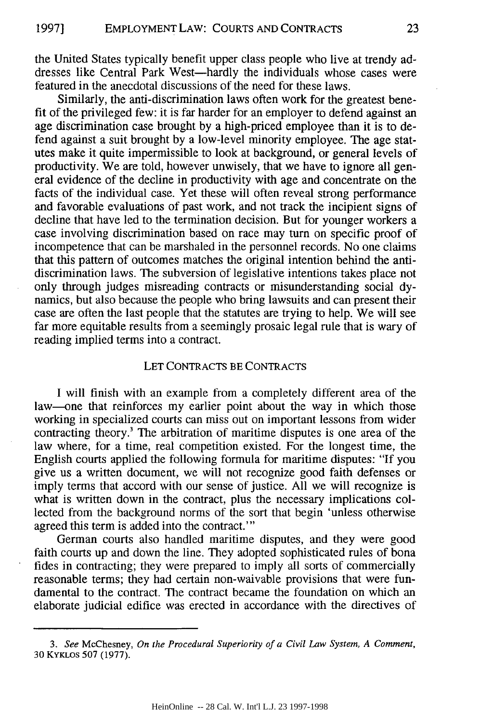the United States typically benefit upper class people who live at trendy addresses like Central Park West-hardly the individuals whose cases were featured in the anecdotal discussions of the need for these laws.

Similarly, the anti-discrimination laws often work for the greatest benefit of the privileged few: it is far harder for an employer to defend against an age discrimination case brought by a high-priced employee than it is to defend against a suit brought by a low-level minority employee. The age statutes make it quite impermissible to look at background, or general levels of productivity. We are told, however unwisely, that we have to ignore all general evidence of the decline in productivity with age and concentrate on the facts of the individual case. Yet these will often reveal strong performance and favorable evaluations of past work, and not track the incipient signs of decline that have led to the termination decision. But for younger workers a case involving discrimination based on race may turn on specific proof of incompetence that can be marshaled in the personnel records. No one claims that this pattern of outcomes matches the original intention behind the antidiscrimination laws. The subversion of legislative intentions takes place not only through judges misreading contracts or misunderstanding social dynamics, but also because the people who bring lawsuits and can present their case are often the last people that the statutes are trying to help. We will see far more equitable results from a seemingly prosaic legal rule that is wary of reading implied terms into a contract.

#### LET CONTRACTS BE CONTRACTS

I will finish with an example from a completely different area of the law-one that reinforces my earlier point about the way in which those working in specialized courts can miss out on important lessons from wider contracting theory.' The arbitration of maritime disputes is one area of the law where, for a time, real competition existed. For the longest time, the English courts applied the following formula for maritime disputes: "If you give us a written document, we will not recognize good faith defenses or imply terms that accord with our sense of justice. All we will recognize is what is written down in the contract, plus the necessary implications collected from the background norms of the sort that begin 'unless otherwise agreed this term is added into the contract."'

German courts also handled maritime disputes, and they were good faith courts up and down the line. They adopted sophisticated rules of bona fides in contracting; they were prepared to imply all sorts of commercially reasonable terms; they had certain non-waivable provisions that were fundamental to the contract. The contract became the foundation on which an elaborate judicial edifice was erected in accordance with the directives of

*<sup>3.</sup> See* McChesney, *On the Procedural Superiority of a Civil Law System, A Comment,* **30** KYKLos 507 (1977).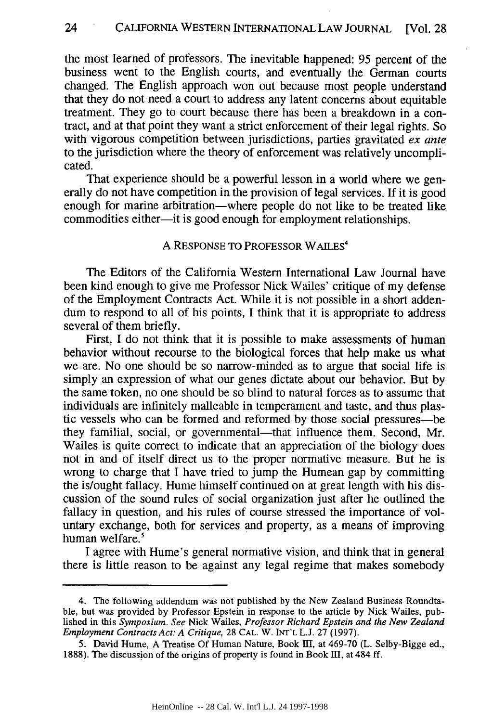the most learned of professors. The inevitable happened: 95 percent of the business went to the English courts, and eventually the German courts changed. The English approach won out because most people understand that they do not need a court to address any latent concerns about equitable treatment. They go to court because there has been a breakdown in a contract, and at that point they want a strict enforcement of their legal rights. So with vigorous competition between jurisdictions, parties gravitated *ex ante* to the jurisdiction where the theory of enforcement was relatively uncomplicated.

That experience should be a powerful lesson in a world where we generally do not have competition in the provision of legal services. If it is good enough for marine arbitration—where people do not like to be treated like commodities either-it is good enough for employment relationships.

## A RESPONSE TO PROFESSOR WAILES<sup>4</sup>

The Editors of the California Western International Law Journal have been kind enough to give me Professor Nick Wailes' critique of my defense of the Employment Contracts Act. While it is not possible in a short addendum to respond to all of his points, I think that it is appropriate to address several of them briefly.

First, I do not think that it is possible to make assessments of human behavior without recourse to the biological forces that help make us what we are. No one should be so narrow-minded as to argue that social life is simply an expression of what our genes dictate about our behavior. But by the same token, no one should be so blind to natural forces as to assume that individuals are infinitely malleable in temperament and taste, and thus plastic vessels who can be formed and reformed by those social pressures-be they familial, social, or governmental—that influence them. Second, Mr. Wailes is quite correct to indicate that an appreciation of the biology does not in and of itself direct us to the proper normative measure. But he is wrong to charge that I have tried to jump the Humean gap by committing the is/ought fallacy. Hume himself continued on at great length with his discussion of the sound rules of social organization just after he outlined the fallacy in question, and his rules of course stressed the importance of voluntary exchange, both for services and property, as a means of improving human welfare.'

I agree with Hume's general normative vision, and think that in general there is little reason to be against any legal regime that makes somebody

<sup>4.</sup> The following addendum was not published by the New Zealand Business Roundtable, but was provided by Professor Epstein in response to the article by Nick Wailes, published in this *Symposium. See* Nick Wailes. *Professor Richard Epstein and the New Zealand Employment Contracts Act: A Critique,* 28 **CAL.** W. **INT'L** L.J. 27 (1997).

<sup>5.</sup> David Hume, A Treatise Of Human Nature, Book **II,** at 469-70 (L. Selby-Bigge ed., 1888). The discussion of the origins of property is found in Book  $III$ , at 484 ff.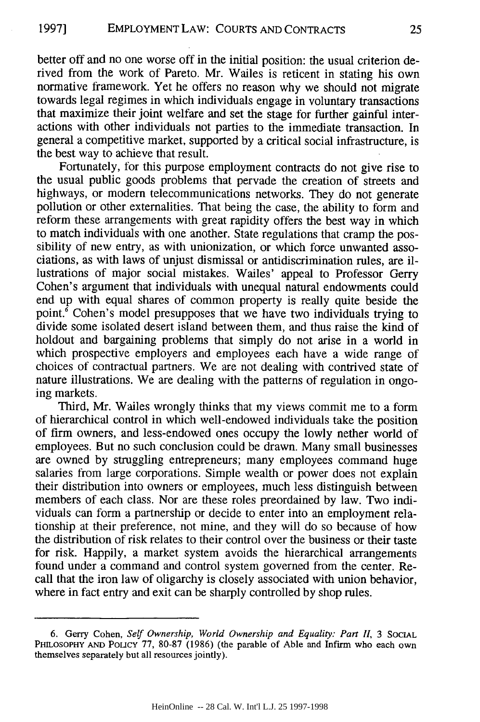better off and no one worse off in the initial position: the usual criterion derived from the work of Pareto. Mr. Wailes is reticent in stating his own normative framework. Yet he offers no reason why we should not migrate towards legal regimes in which individuals engage in voluntary transactions that maximize their joint welfare and set the stage for further gainful interactions with other individuals not parties to the immediate transaction. In general a competitive market, supported by a critical social infrastructure, is the best way to achieve that result.

Fortunately, for this purpose employment contracts do not give rise to the usual public goods problems that pervade the creation of streets and highways, or modern telecommunications networks. They do not generate pollution or other externalities. That being the case, the ability to form and reform these arrangements with great rapidity offers the best way in which to match individuals with one another. State regulations that cramp the possibility of new entry, as with unionization, or which force unwanted associations, as with laws of unjust dismissal or antidiscrimination rules, are illustrations of major social mistakes. Wailes' appeal to Professor Gerry Cohen's argument that individuals with unequal natural endowments could end up with equal shares of common property is really quite beside the point. $\delta$  Cohen's model presupposes that we have two individuals trying to divide some isolated desert island between them, and thus raise the kind of holdout and bargaining problems that simply do not arise in a world in which prospective employers and employees each have a wide range of choices of contractual partners. We are not dealing with contrived state of nature illustrations. We are dealing with the patterns of regulation in ongoing markets.

Third, Mr. Wailes wrongly thinks that my views commit me to a form of hierarchical control in which well-endowed individuals take the position of firm owners, and less-endowed ones occupy the lowly nether world of employees. But no such conclusion could be drawn. Many small businesses are owned by struggling entrepreneurs; many employees command huge salaries from large corporations. Simple wealth or power does not explain their distribution into owners or employees, much less distinguish between members of each class. Nor are these roles preordained by law. Two individuals can form a partnership or decide to enter into an employment relationship at their preference, not mine, and they will do so because of how the distribution of risk relates to their control over the business or their taste for risk. Happily, a market system avoids the hierarchical arrangements found under a command and control system governed from the center. Recall that the iron law of oligarchy is closely associated with union behavior, where in fact entry and exit can be sharply controlled by shop rules.

<sup>6.</sup> Gerry Cohen, *Self Ownership, World Ownership and Equality: Part II,* 3 **SOCIAL PHILOSOPHY AND** POLICY 77, 80-87 (1986) (the parable of Able and Infirm who each own themselves separately but all resources jointly).